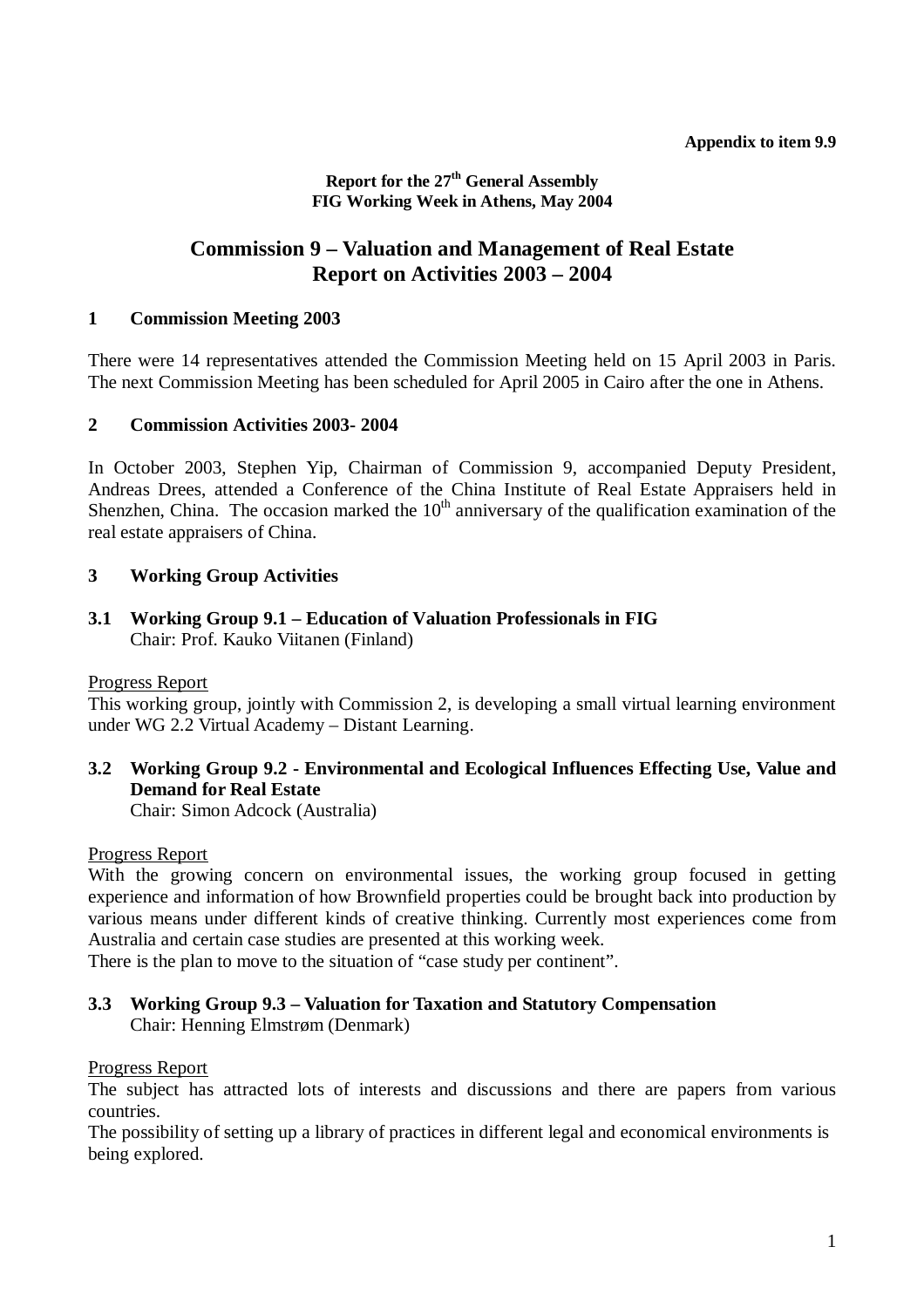**Report for the 27th General Assembly FIG Working Week in Athens, May 2004**

# **Commission 9 – Valuation and Management of Real Estate Report on Activities 2003 – 2004**

### **1 Commission Meeting 2003**

There were 14 representatives attended the Commission Meeting held on 15 April 2003 in Paris. The next Commission Meeting has been scheduled for April 2005 in Cairo after the one in Athens.

#### **2 Commission Activities 2003- 2004**

In October 2003, Stephen Yip, Chairman of Commission 9, accompanied Deputy President, Andreas Drees, attended a Conference of the China Institute of Real Estate Appraisers held in Shenzhen, China. The occasion marked the  $10<sup>th</sup>$  anniversary of the qualification examination of the real estate appraisers of China.

### **3 Working Group Activities**

**3.1 Working Group 9.1 – Education of Valuation Professionals in FIG**  Chair: Prof. Kauko Viitanen (Finland)

#### Progress Report

This working group, jointly with Commission 2, is developing a small virtual learning environment under WG 2.2 Virtual Academy – Distant Learning.

## **3.2 Working Group 9.2 - Environmental and Ecological Influences Effecting Use, Value and Demand for Real Estate**

Chair: Simon Adcock (Australia)

Progress Report

With the growing concern on environmental issues, the working group focused in getting experience and information of how Brownfield properties could be brought back into production by various means under different kinds of creative thinking. Currently most experiences come from Australia and certain case studies are presented at this working week.

There is the plan to move to the situation of "case study per continent".

### **3.3 Working Group 9.3 – Valuation for Taxation and Statutory Compensation**  Chair: Henning Elmstrøm (Denmark)

#### Progress Report

The subject has attracted lots of interests and discussions and there are papers from various countries.

The possibility of setting up a library of practices in different legal and economical environments is being explored.